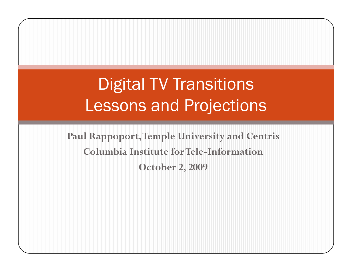# Digital TV Transitions Lessons and Projections

**Paul Rappoport, Temple University and Centris Columbia Institute for Tele -Information October 2, 2009**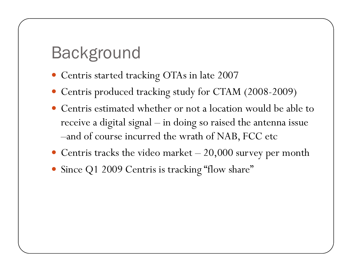## Background

- Centris started tracking OTAs in late 2007
- Centris produced tracking study for CTAM (2008-2009)
- Centris estimated whether or not a location would be able to receive a digital signal – in doing so raised the antenna issue –and of course incurred the wrath of NAB, FCC etc
- Centris tracks the video market  $-20,000$  survey per month
- Since Q1 2009 Centris is tracking "flow share"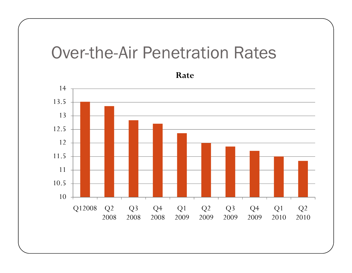#### Over-the-Air Penetration Rates

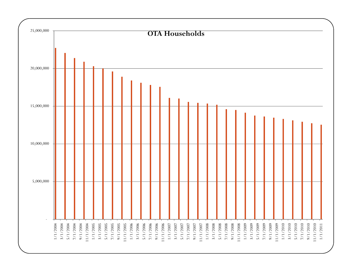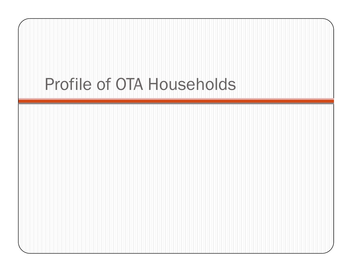# Profile of OTA Households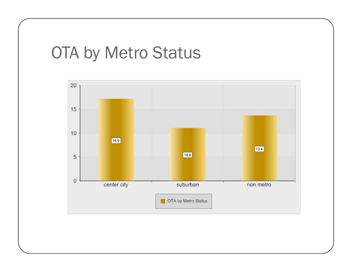## OTA by Metro Status

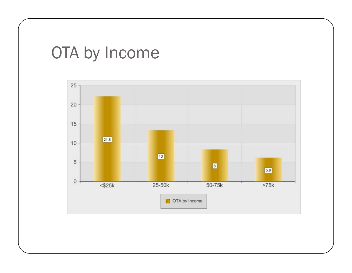# OTA by Income

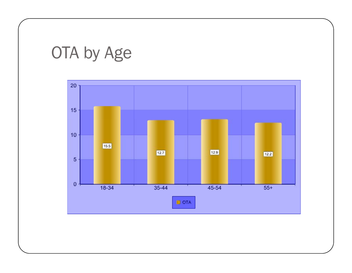# OTA by Age

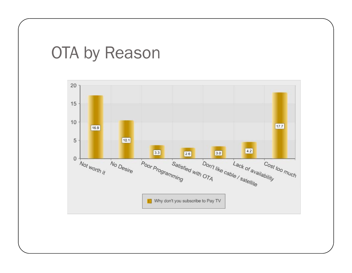## OTA by Reason

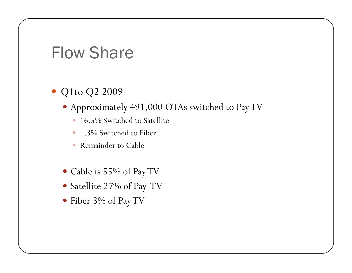#### **Flow Share**

- Q1to Q2 2009
	- Approximately 491,000 OTAs switched to Pay TV
		- · 16.5% Switched to Satellite
		- 1.3% Switched to Fiber  $\bullet$
		- Remainder to Cable  $\bullet$
	- Cable is 55% of Pay TV
	- Satellite 27% of Pay TV
	- Fiber 3% of Pay TV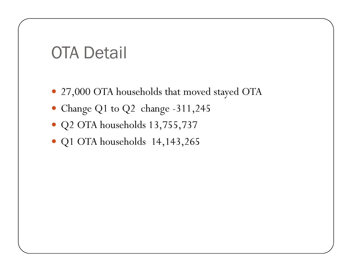### OTA Detail

- 27,000 OTA households that moved stayed OTA
- Change Q1 to Q2 change -311,245
- Q2 OTA households 13,755,737
- Q1 OTA households  $14,143,265$